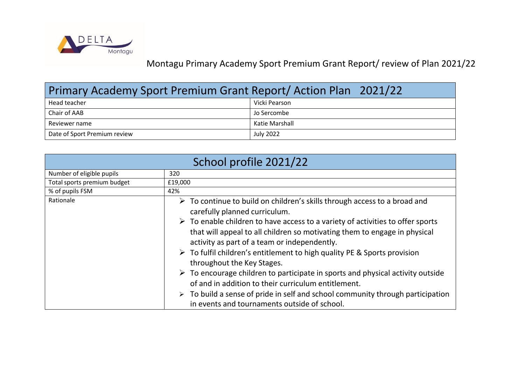

Montagu Primary Academy Sport Premium Grant Report/ review of Plan 2021/22

| Primary Academy Sport Premium Grant Report/Action Plan 2021/22 |                  |  |  |  |
|----------------------------------------------------------------|------------------|--|--|--|
| Head teacher                                                   | Vicki Pearson    |  |  |  |
| Chair of AAB                                                   | Jo Sercombe      |  |  |  |
| Reviewer name                                                  | Katie Marshall   |  |  |  |
| Date of Sport Premium review                                   | <b>July 2022</b> |  |  |  |

| School profile 2021/22      |                                                                                                                                                                                                                                                                                                                                                                                                                                                                                                                                                                                                                                                                                                                                                                                           |  |  |  |  |
|-----------------------------|-------------------------------------------------------------------------------------------------------------------------------------------------------------------------------------------------------------------------------------------------------------------------------------------------------------------------------------------------------------------------------------------------------------------------------------------------------------------------------------------------------------------------------------------------------------------------------------------------------------------------------------------------------------------------------------------------------------------------------------------------------------------------------------------|--|--|--|--|
| Number of eligible pupils   | 320                                                                                                                                                                                                                                                                                                                                                                                                                                                                                                                                                                                                                                                                                                                                                                                       |  |  |  |  |
| Total sports premium budget | £19,000                                                                                                                                                                                                                                                                                                                                                                                                                                                                                                                                                                                                                                                                                                                                                                                   |  |  |  |  |
| % of pupils FSM             | 42%                                                                                                                                                                                                                                                                                                                                                                                                                                                                                                                                                                                                                                                                                                                                                                                       |  |  |  |  |
| Rationale                   | $\triangleright$ To continue to build on children's skills through access to a broad and<br>carefully planned curriculum.<br>$\triangleright$ To enable children to have access to a variety of activities to offer sports<br>that will appeal to all children so motivating them to engage in physical<br>activity as part of a team or independently.<br>$\triangleright$ To fulfil children's entitlement to high quality PE & Sports provision<br>throughout the Key Stages.<br>$\triangleright$ To encourage children to participate in sports and physical activity outside<br>of and in addition to their curriculum entitlement.<br>$\triangleright$ To build a sense of pride in self and school community through participation<br>in events and tournaments outside of school. |  |  |  |  |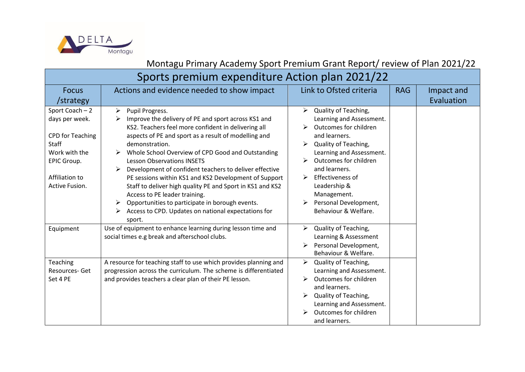

Montagu Primary Academy Sport Premium Grant Report/ review of Plan 2021/22

## Sports premium expenditure Action plan 2021/22

| <b>Focus</b><br>/strategy                                                                                                                 | Actions and evidence needed to show impact                                                                                                                                                                                                                                                                                                                                                                                                                                                                                                                                                                                                                 | Link to Ofsted criteria                                                                                                                                                                                                                                                                                | <b>RAG</b> | Impact and<br>Evaluation |
|-------------------------------------------------------------------------------------------------------------------------------------------|------------------------------------------------------------------------------------------------------------------------------------------------------------------------------------------------------------------------------------------------------------------------------------------------------------------------------------------------------------------------------------------------------------------------------------------------------------------------------------------------------------------------------------------------------------------------------------------------------------------------------------------------------------|--------------------------------------------------------------------------------------------------------------------------------------------------------------------------------------------------------------------------------------------------------------------------------------------------------|------------|--------------------------|
| Sport Coach - 2<br>days per week.<br><b>CPD for Teaching</b><br>Staff<br>Work with the<br>EPIC Group.<br>Affiliation to<br>Active Fusion. | Pupil Progress.<br>➤<br>Improve the delivery of PE and sport across KS1 and<br>➤<br>KS2. Teachers feel more confident in delivering all<br>aspects of PE and sport as a result of modelling and<br>demonstration.<br>Whole School Overview of CPD Good and Outstanding<br><b>Lesson Observations INSETS</b><br>Development of confident teachers to deliver effective<br>➤<br>PE sessions within KS1 and KS2 Development of Support<br>Staff to deliver high quality PE and Sport in KS1 and KS2<br>Access to PE leader training.<br>Opportunities to participate in borough events.<br>➤<br>Access to CPD. Updates on national expectations for<br>sport. | Quality of Teaching,<br>➤<br>Learning and Assessment.<br>Outcomes for children<br>and learners.<br>Quality of Teaching,<br>Learning and Assessment.<br>Outcomes for children<br>and learners.<br>Effectiveness of<br>➤<br>Leadership &<br>Management.<br>Personal Development,<br>Behaviour & Welfare. |            |                          |
| Equipment                                                                                                                                 | Use of equipment to enhance learning during lesson time and<br>social times e.g break and afterschool clubs.                                                                                                                                                                                                                                                                                                                                                                                                                                                                                                                                               | Quality of Teaching,<br>➤<br>Learning & Assessment<br>Personal Development,<br>Behaviour & Welfare.                                                                                                                                                                                                    |            |                          |
| Teaching<br>Resources-Get<br>Set 4 PE                                                                                                     | A resource for teaching staff to use which provides planning and<br>progression across the curriculum. The scheme is differentiated<br>and provides teachers a clear plan of their PE lesson.                                                                                                                                                                                                                                                                                                                                                                                                                                                              | $\blacktriangleright$<br>Quality of Teaching,<br>Learning and Assessment.<br>Outcomes for children<br>and learners.<br>Quality of Teaching,<br>Learning and Assessment.<br>Outcomes for children<br>and learners.                                                                                      |            |                          |